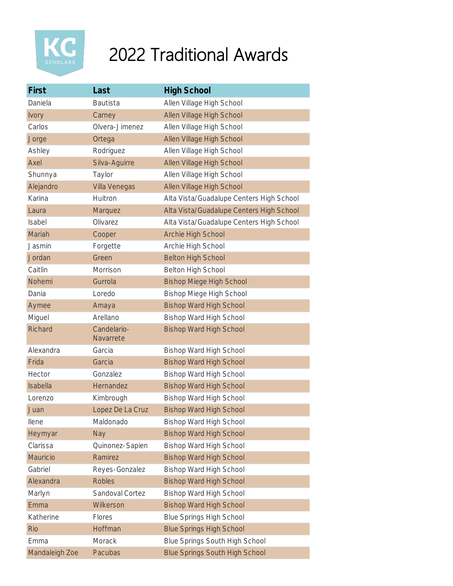

| First          | Last                     | High School                              |
|----------------|--------------------------|------------------------------------------|
| Daniela        | <b>Bautista</b>          | Allen Village High School                |
| Ivory          | Carney                   | Allen Village High School                |
| Carlos         | Olvera-Jimenez           | Allen Village High School                |
| Jorge          | Ortega                   | Allen Village High School                |
| Ashley         | Rodriguez                | Allen Village High School                |
| Axel           | Silva-Aguirre            | Allen Village High School                |
| Shunnya        | Taylor                   | Allen Village High School                |
| Alejandro      | Villa Venegas            | Allen Village High School                |
| Karina         | Huitron                  | Alta Vista/Guadalupe Centers High School |
| Laura          | Marquez                  | Alta Vista/Guadalupe Centers High School |
| Isabel         | Olivarez                 | Alta Vista/Guadalupe Centers High School |
| Mariah         | Cooper                   | Archie High School                       |
| Jasmin         | Forgette                 | Archie High School                       |
| Jordan         | Green                    | <b>Belton High School</b>                |
| Caitlin        | Morrison                 | Belton High School                       |
| Nohemi         | Gurrola                  | <b>Bishop Miege High School</b>          |
| Dania          | Loredo                   | <b>Bishop Miege High School</b>          |
| Aymee          | Amaya                    | <b>Bishop Ward High School</b>           |
| Miguel         | Arellano                 | Bishop Ward High School                  |
| <b>Richard</b> | Candelario-<br>Navarrete | <b>Bishop Ward High School</b>           |
| Alexandra      | Garcia                   | Bishop Ward High School                  |
| Frida          | Garcia                   | <b>Bishop Ward High School</b>           |
| Hector         | Gonzalez                 | Bishop Ward High School                  |
| Isabella       | Hernandez                | <b>Bishop Ward High School</b>           |
| Lorenzo        | Kimbrough                | Bishop Ward High School                  |
| Juan           | Lopez De La Cruz         | <b>Bishop Ward High School</b>           |
| llene          | Maldonado                | <b>Bishop Ward High School</b>           |
| Heymyar        | Nay                      | <b>Bishop Ward High School</b>           |
| Clarissa       | Quinonez-Sapien          | Bishop Ward High School                  |
| Mauricio       | Ramirez                  | <b>Bishop Ward High School</b>           |
| Gabriel        | Reyes-Gonzalez           | Bishop Ward High School                  |
| Alexandra      | <b>Robles</b>            | <b>Bishop Ward High School</b>           |
| Marlyn         | Sandoval Cortez          | Bishop Ward High School                  |
| Emma           | Wilkerson                | <b>Bishop Ward High School</b>           |
| Katherine      | Flores                   | <b>Blue Springs High School</b>          |
| <b>Rio</b>     | Hoffman                  | <b>Blue Springs High School</b>          |
| Emma           | Morack                   | Blue Springs South High School           |
| Mandaleigh Zoe | Pacubas                  | <b>Blue Springs South High School</b>    |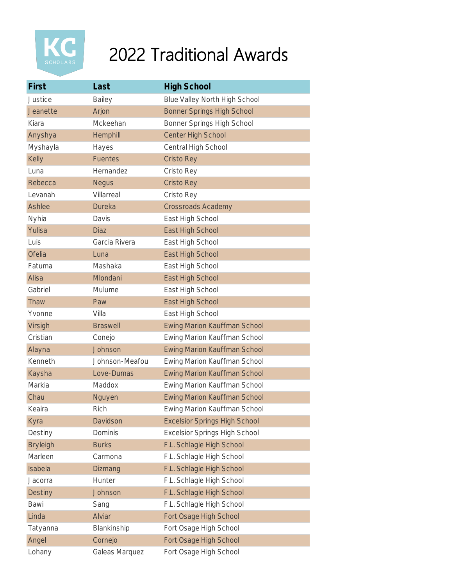| First           | Last            | High School                          |
|-----------------|-----------------|--------------------------------------|
| Justice         | Bailey          | Blue Valley North High School        |
| Jeanette        | Arjon           | <b>Bonner Springs High School</b>    |
| Kiara           | Mckeehan        | Bonner Springs High School           |
| Anyshya         | Hemphill        | <b>Center High School</b>            |
| Myshayla        | Hayes           | Central High School                  |
| Kelly           | <b>Fuentes</b>  | <b>Cristo Rey</b>                    |
| Luna            | Hernandez       | Cristo Rey                           |
| Rebecca         | <b>Negus</b>    | <b>Cristo Rey</b>                    |
| Levanah         | Villarreal      | Cristo Rey                           |
| Ashlee          | <b>Dureka</b>   | <b>Crossroads Academy</b>            |
| Nyhia           | Davis           | East High School                     |
| Yulisa          | <b>Diaz</b>     | East High School                     |
| Luis            | Garcia Rivera   | East High School                     |
| <b>Ofelia</b>   | Luna            | East High School                     |
| Fatuma          | Mashaka         | East High School                     |
| Alisa           | Mlondani        | East High School                     |
| Gabriel         | Mulume          | East High School                     |
| Thaw            | Paw             | East High School                     |
| Yvonne          | Villa           | East High School                     |
| Virsigh         | <b>Braswell</b> | <b>Ewing Marion Kauffman School</b>  |
| Cristian        | Conejo          | Ewing Marion Kauffman School         |
| Alayna          | Johnson         | <b>Ewing Marion Kauffman School</b>  |
| Kenneth         | Johnson-Meafou  | Ewing Marion Kauffman School         |
| Kaysha          | Love-Dumas      | <b>Ewing Marion Kauffman School</b>  |
| Markia          | Maddox          | Ewing Marion Kauffman School         |
| Chau            | Nguyen          | <b>Ewing Marion Kauffman School</b>  |
| Keaira          | Rich            | Ewing Marion Kauffman School         |
| Kyra            | Davidson        | <b>Excelsior Springs High School</b> |
| Destiny         | Dominis         | <b>Excelsior Springs High School</b> |
| <b>Bryleigh</b> | <b>Burks</b>    | F.L. Schlagle High School            |
| Marleen         | Carmona         | F.L. Schlagle High School            |
| Isabela         | Dizmang         | F.L. Schlagle High School            |
| Jacorra         | Hunter          | F.L. Schlagle High School            |
| <b>Destiny</b>  | Johnson         | F.L. Schlagle High School            |
| Bawi            | Sang            | F.L. Schlagle High School            |
| Linda           | Alviar          | Fort Osage High School               |
| Tatyanna        | Blankinship     | Fort Osage High School               |
| Angel           | Cornejo         | Fort Osage High School               |
| Lohany          | Galeas Marquez  | Fort Osage High School               |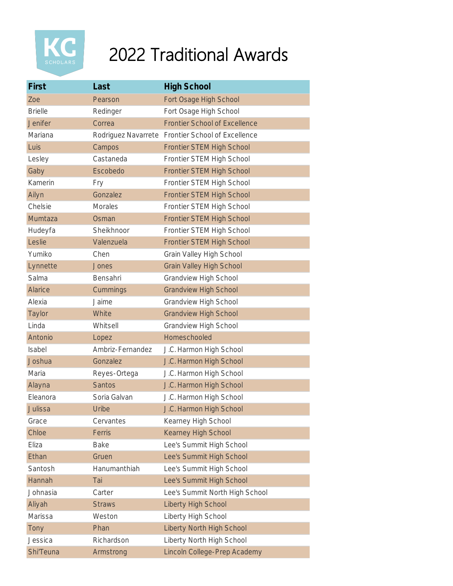

| First            | Last             | <b>High School</b>                                |
|------------------|------------------|---------------------------------------------------|
| Zoe              | Pearson          | Fort Osage High School                            |
| <b>Brielle</b>   | Redinger         | Fort Osage High School                            |
| <b>Jenifer</b>   | Correa           | <b>Frontier School of Excellence</b>              |
| Mariana          |                  | Rodriguez Navarrete Frontier School of Excellence |
| Luis             | Campos           | Frontier STEM High School                         |
| Lesley           | Castaneda        | Frontier STEM High School                         |
| Gaby             | Escobedo         | Frontier STEM High School                         |
| Kamerin          | Fry              | Frontier STEM High School                         |
| Ailyn            | Gonzalez         | Frontier STEM High School                         |
| Chelsie          | <b>Morales</b>   | Frontier STEM High School                         |
| Mumtaza          | Osman            | Frontier STEM High School                         |
| Hudeyfa          | Sheikhnoor       | Frontier STEM High School                         |
| Leslie           | Valenzuela       | Frontier STEM High School                         |
| Yumiko           | Chen             | Grain Valley High School                          |
| Lynnette         | Jones            | <b>Grain Valley High School</b>                   |
| Salma            | Bensahri         | <b>Grandview High School</b>                      |
| <b>Alarice</b>   | Cummings         | <b>Grandview High School</b>                      |
| Alexia           | Jaime            | <b>Grandview High School</b>                      |
| Taylor           | White            | <b>Grandview High School</b>                      |
| Linda            | Whitsell         | Grandview High School                             |
| Antonio          | Lopez            | Homeschooled                                      |
| Isabel           | Ambriz-Fernandez | J.C. Harmon High School                           |
| Joshua           | Gonzalez         | J.C. Harmon High School                           |
| Maria            | Reyes-Ortega     | J.C. Harmon High School                           |
| Alayna           | <b>Santos</b>    | J.C. Harmon High School                           |
| Eleanora         | Soria Galvan     | J.C. Harmon High School                           |
| Julissa          | <b>Uribe</b>     | J.C. Harmon High School                           |
| Grace            | Cervantes        | Kearney High School                               |
| Chloe            | Ferris           | Kearney High School                               |
| Eliza            | Bake             | Lee's Summit High School                          |
| Ethan            | Gruen            | Lee's Summit High School                          |
| Santosh          | Hanumanthiah     | Lee's Summit High School                          |
| Hannah           | Tai              | Lee's Summit High School                          |
| Johnasia         | Carter           | Lee's Summit North High School                    |
| Aliyah           | <b>Straws</b>    | Liberty High School                               |
| Marissa          | Weston           | Liberty High School                               |
| Tony             | Phan             | <b>Liberty North High School</b>                  |
| Jessica          | Richardson       | Liberty North High School                         |
| <b>Shi'Teuna</b> | Armstrong        | Lincoln College-Prep Academy                      |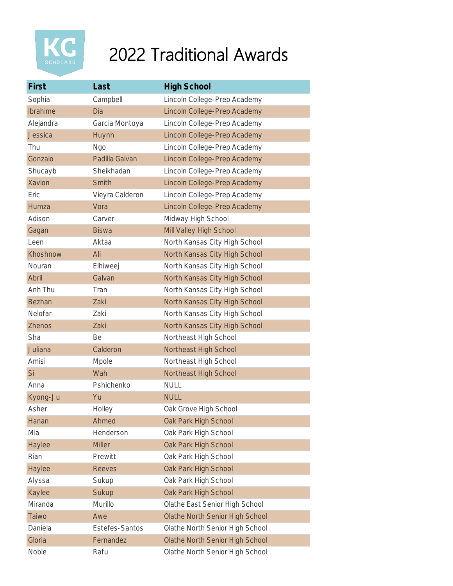

| First         | Last            | <b>High School</b>                     |
|---------------|-----------------|----------------------------------------|
| Sophia        | Campbell        | Lincoln College-Prep Academy           |
| Ibrahime      | Dia             | Lincoln College-Prep Academy           |
| Alejandra     | Garcia Montoya  | Lincoln College-Prep Academy           |
| Jessica       | Huynh           | Lincoln College-Prep Academy           |
| Thu           | Ngo             | Lincoln College-Prep Academy           |
| Gonzalo       | Padilla Galvan  | Lincoln College-Prep Academy           |
| Shucayb       | Sheikhadan      | Lincoln College-Prep Academy           |
| Xavion        | Smith           | Lincoln College-Prep Academy           |
| Eric          | Vieyra Calderon | Lincoln College-Prep Academy           |
| Humza         | Vora            | Lincoln College-Prep Academy           |
| Adison        | Carver          | Midway High School                     |
| Gagan         | <b>Biswa</b>    | Mill Valley High School                |
| Leen          | Aktaa           | North Kansas City High School          |
| Khoshnow      | Ali             | North Kansas City High School          |
| Nouran        | Elhiweej        | North Kansas City High School          |
| Abril         | Galvan          | North Kansas City High School          |
| Anh Thu       | Tran            | North Kansas City High School          |
| <b>Bezhan</b> | Zaki            | North Kansas City High School          |
| Nelofar       | Zaki            | North Kansas City High School          |
| <b>Zhenos</b> | Zaki            | North Kansas City High School          |
| Sha           | Be              | Northeast High School                  |
| Juliana       | Calderon        | Northeast High School                  |
| Amisi         | Mpole           | Northeast High School                  |
| Si            | Wah             | Northeast High School                  |
| Anna          | Pshichenko      | <b>NULL</b>                            |
| Kyong-Ju      | Yu              | <b>NULL</b>                            |
| Asher         | Holley          | Oak Grove High School                  |
| Hanan         | Ahmed           | Oak Park High School                   |
| Mia           | Henderson       | Oak Park High School                   |
| Haylee        | <b>Miller</b>   | Oak Park High School                   |
| Rian          | Prewitt         | Oak Park High School                   |
| Haylee        | <b>Reeves</b>   | Oak Park High School                   |
| Alyssa        | Sukup           | Oak Park High School                   |
| Kaylee        | Sukup           | Oak Park High School                   |
| Miranda       | Murillo         | Olathe East Senior High School         |
| Taiwo         | Awe             | <b>Olathe North Senior High School</b> |
| Daniela       | Estefes-Santos  | Olathe North Senior High School        |
| Gloria        | Fernandez       | <b>Olathe North Senior High School</b> |
| Noble         | Rafu            | Olathe North Senior High School        |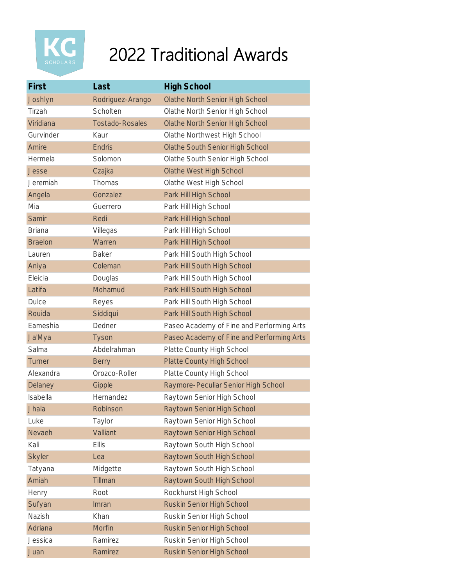

| First           | Last                   | <b>High School</b>                        |
|-----------------|------------------------|-------------------------------------------|
| Joshlyn         | Rodriguez-Arango       | <b>Olathe North Senior High School</b>    |
| Tirzah          | Scholten               | Olathe North Senior High School           |
| Viridiana       | <b>Tostado-Rosales</b> | <b>Olathe North Senior High School</b>    |
| Gurvinder       | Kaur                   | Olathe Northwest High School              |
| Amire           | <b>Endris</b>          | <b>Olathe South Senior High School</b>    |
| Hermela         | Solomon                | Olathe South Senior High School           |
| Jesse           | Czajka                 | Olathe West High School                   |
| Jeremiah        | Thomas                 | Olathe West High School                   |
| Angela          | Gonzalez               | Park Hill High School                     |
| Mia             | Guerrero               | Park Hill High School                     |
| Samir           | Redi                   | Park Hill High School                     |
| <b>Briana</b>   | Villegas               | Park Hill High School                     |
| <b>Braelon</b>  | Warren                 | Park Hill High School                     |
| Lauren          | <b>Baker</b>           | Park Hill South High School               |
| Aniya           | Coleman                | Park Hill South High School               |
| Eleicia         | Douglas                | Park Hill South High School               |
| Latifa          | Mohamud                | Park Hill South High School               |
| Dulce           | Reyes                  | Park Hill South High School               |
| Rouida          | Siddiqui               | Park Hill South High School               |
| Eameshia        | Dedner                 | Paseo Academy of Fine and Performing Arts |
| Ja'Mya          | Tyson                  | Paseo Academy of Fine and Performing Arts |
| Salma           | Abdelrahman            | Platte County High School                 |
| <b>Turner</b>   | <b>Berry</b>           | <b>Platte County High School</b>          |
| Alexandra       | Orozco-Roller          | Platte County High School                 |
| Delaney         | Gipple                 | Raymore-Peculiar Senior High School       |
| <b>Isabella</b> | Hernandez              | Raytown Senior High School                |
| Jhala           | Robinson               | Raytown Senior High School                |
| Luke            | Taylor                 | Raytown Senior High School                |
| Nevaeh          | Valliant               | Raytown Senior High School                |
| Kali            | <b>Ellis</b>           | Raytown South High School                 |
| <b>Skyler</b>   | Lea                    | Raytown South High School                 |
| Tatyana         | Midgette               | Raytown South High School                 |
| Amiah           | Tillman                | Raytown South High School                 |
| Henry           | Root                   | Rockhurst High School                     |
| Sufyan          | Imran                  | Ruskin Senior High School                 |
| Nazish          | Khan                   | Ruskin Senior High School                 |
| Adriana         | Morfin                 | Ruskin Senior High School                 |
| Jessica         | Ramirez                | Ruskin Senior High School                 |
| Juan            | Ramirez                | Ruskin Senior High School                 |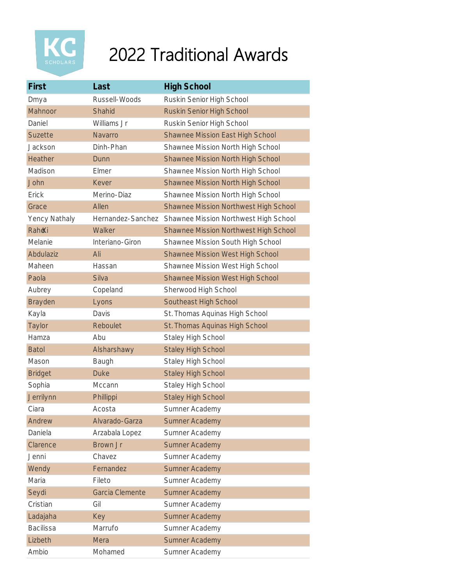

| First                | Last              | <b>High School</b>                           |
|----------------------|-------------------|----------------------------------------------|
| Dmya                 | Russell-Woods     | Ruskin Senior High School                    |
| Mahnoor              | Shahid            | Ruskin Senior High School                    |
| Daniel               | Williams Jr       | Ruskin Senior High School                    |
| <b>Suzette</b>       | Navarro           | <b>Shawnee Mission East High School</b>      |
| Jackson              | Dinh-Phan         | Shawnee Mission North High School            |
| Heather              | Dunn              | <b>Shawnee Mission North High School</b>     |
| Madison              | Elmer             | Shawnee Mission North High School            |
| John                 | Kever             | <b>Shawnee Mission North High School</b>     |
| Erick                | Merino-Diaz       | Shawnee Mission North High School            |
| Grace                | Allen             | Shawnee Mission Northwest High School        |
| <b>Yency Nathaly</b> | Hernandez-Sanchez | Shawnee Mission Northwest High School        |
| Rah Ki               | Walker            | <b>Shawnee Mission Northwest High School</b> |
| Melanie              | Interiano-Giron   | Shawnee Mission South High School            |
| Abdulaziz            | Ali               | <b>Shawnee Mission West High School</b>      |
| Maheen               | Hassan            | Shawnee Mission West High School             |
| Paola                | Silva             | <b>Shawnee Mission West High School</b>      |
| Aubrey               | Copeland          | Sherwood High School                         |
| <b>Brayden</b>       | Lyons             | Southeast High School                        |
| Kayla                | Davis             | St. Thomas Aquinas High School               |
| <b>Taylor</b>        | Reboulet          | St. Thomas Aquinas High School               |
| Hamza                | Abu               | Staley High School                           |
| <b>Batol</b>         | Alsharshawy       | <b>Staley High School</b>                    |
| Mason                | Baugh             | Staley High School                           |
| <b>Bridget</b>       | <b>Duke</b>       | <b>Staley High School</b>                    |
| Sophia               | Mccann            | Staley High School                           |
| Jerrilynn            | Phillippi         | <b>Staley High School</b>                    |
| Ciara                | Acosta            | Sumner Academy                               |
| Andrew               | Alvarado-Garza    | <b>Sumner Academy</b>                        |
| Daniela              | Arzabala Lopez    | Sumner Academy                               |
| Clarence             | Brown Jr          | <b>Sumner Academy</b>                        |
| Jenni                | Chavez            | Sumner Academy                               |
| Wendy                | Fernandez         | <b>Sumner Academy</b>                        |
| Maria                | Fileto            | Sumner Academy                               |
| Seydi                | Garcia Clemente   | <b>Sumner Academy</b>                        |
| Cristian             | Gil               | Sumner Academy                               |
| Ladajaha             | Key               | <b>Sumner Academy</b>                        |
| <b>Bacilissa</b>     | Marrufo           | Sumner Academy                               |
| Lizbeth              | Mera              | <b>Sumner Academy</b>                        |
| Ambio                | Mohamed           | Sumner Academy                               |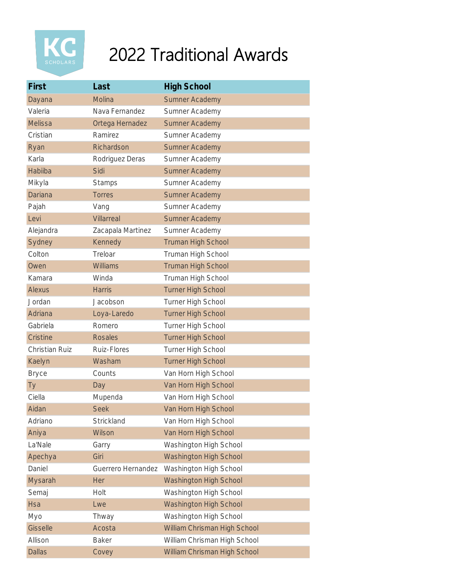

| First                 | Last               | <b>High School</b>            |
|-----------------------|--------------------|-------------------------------|
| Dayana                | Molina             | <b>Sumner Academy</b>         |
| Valeria               | Nava Fernandez     | Sumner Academy                |
| <b>Melissa</b>        | Ortega Hernadez    | <b>Sumner Academy</b>         |
| Cristian              | Ramirez            | Sumner Academy                |
| Ryan                  | Richardson         | <b>Sumner Academy</b>         |
| Karla                 | Rodriguez Deras    | Sumner Academy                |
| Habiiba               | Sidi               | <b>Sumner Academy</b>         |
| Mikyla                | <b>Stamps</b>      | Sumner Academy                |
| <b>Dariana</b>        | <b>Torres</b>      | <b>Sumner Academy</b>         |
| Pajah                 | Vang               | Sumner Academy                |
| Levi                  | Villarreal         | <b>Sumner Academy</b>         |
| Alejandra             | Zacapala Martinez  | Sumner Academy                |
| Sydney                | Kennedy            | <b>Truman High School</b>     |
| Colton                | Treloar            | Truman High School            |
| Owen                  | Williams           | <b>Truman High School</b>     |
| Kamara                | Winda              | Truman High School            |
| <b>Alexus</b>         | <b>Harris</b>      | <b>Turner High School</b>     |
| Jordan                | Jacobson           | Turner High School            |
| Adriana               | Loya-Laredo        | <b>Turner High School</b>     |
| Gabriela              | Romero             | Turner High School            |
| <b>Cristine</b>       | <b>Rosales</b>     | <b>Turner High School</b>     |
| <b>Christian Ruiz</b> | Ruiz-Flores        | Turner High School            |
| Kaelyn                | Washam             | <b>Turner High School</b>     |
| <b>Bryce</b>          | Counts             | Van Horn High School          |
| Ty                    | Day                | Van Horn High School          |
| Ciella                | Mupenda            | Van Horn High School          |
| Aidan                 | <b>Seek</b>        | Van Horn High School          |
| Adriano               | Strickland         | Van Horn High School          |
| Aniya                 | Wilson             | Van Horn High School          |
| La'Nale               | Garry              | Washington High School        |
| Apechya               | Giri               | <b>Washington High School</b> |
| Daniel                | Guerrero Hernandez | Washington High School        |
| Mysarah               | Her                | Washington High School        |
| Semaj                 | Holt               | Washington High School        |
| <b>Hsa</b>            | Lwe                | Washington High School        |
| Myo                   | Thway              | Washington High School        |
| Gisselle              | Acosta             | William Chrisman High School  |
| Allison               | <b>Baker</b>       | William Chrisman High School  |
| <b>Dallas</b>         | Covey              | William Chrisman High School  |